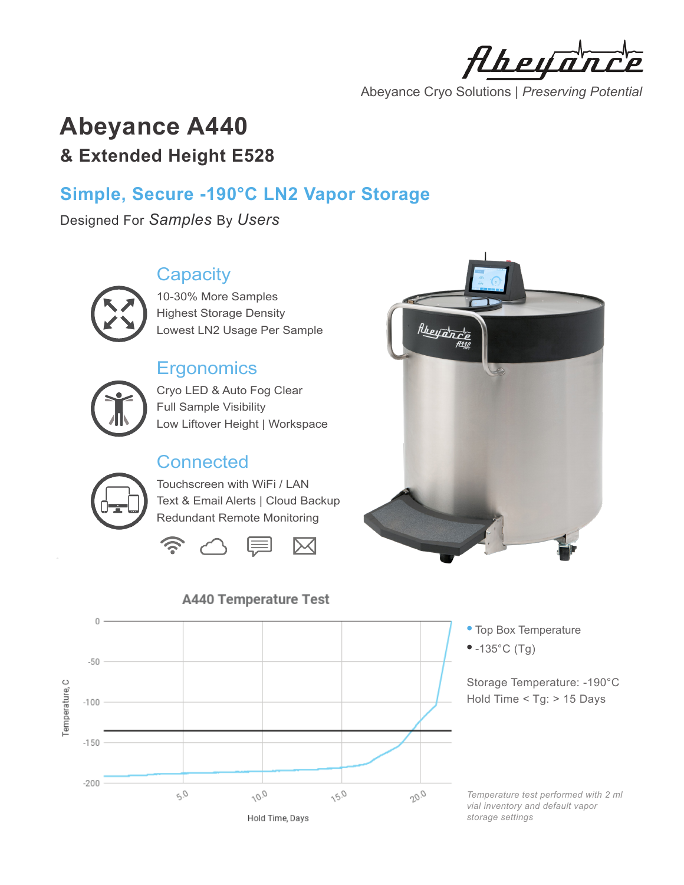Aheya

Abeyance Cryo Solutions | *Preserving Potential*

# **Abeyance A440 & Extended Height E528**

## **Simple, Secure -190°C LN2 Vapor Storage**

Designed For *Samples* By *Users*

#### **Capacity**



10-30% More Samples Highest Storage Density Lowest LN2 Usage Per Sample

#### **Ergonomics**



Cryo LED & Auto Fog Clear Full Sample Visibility Low Liftover Height | Workspace

### **Connected**



Touchscreen with WiFi / LAN Text & Email Alerts | Cloud Backup Redundant Remote Monitoring







Storage Temperature: -190°C Hold Time < Tg: > 15 Days

*Temperature test performed with 2 ml vial inventory and default vapor storage settings*